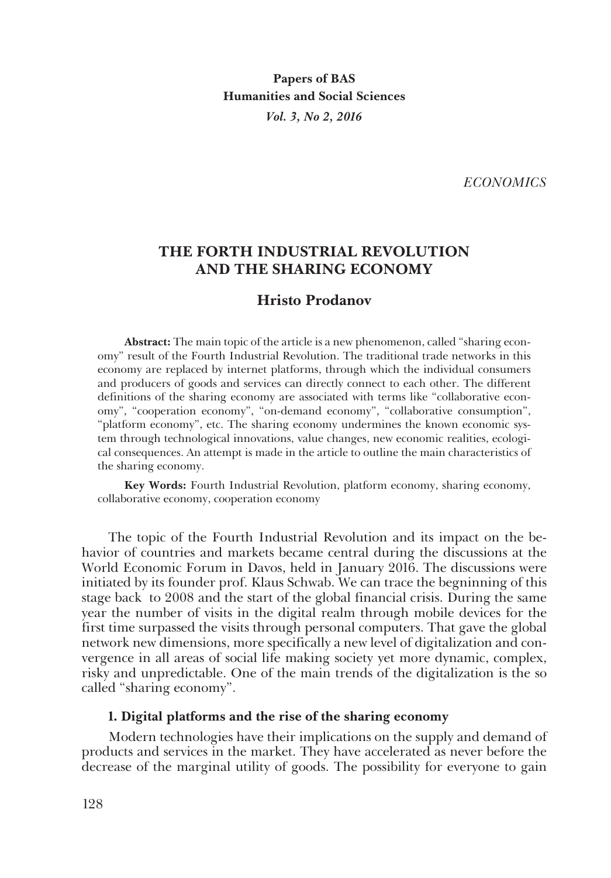**Papers of BAS Humanities and Social Sciences** *Vol. 3, No 2, 2016*

*ECONOMICS*

# **THE FORTH INDUSTRIAL REVOLUTION AND THE SHARING ECONOMY**

## **Hristo Prodanov**

**Abstract:** The main topic of the article is a new phenomenon, called "sharing economy" result of the Fourth Industrial Revolution. The traditional trade networks in this economy are replaced by internet platforms, through which the individual consumers and producers of goods and services can directly connect to each other. The different definitions of the sharing economy are associated with terms like "collaborative econ� omy", "cooperation economy", "on-demand economy", "collaborative consumption", "platform economy", etc. The sharing economy undermines the known economic system through technological innovations, value changes, new economic realities, ecologi� cal consequences. An attempt is made in the article to outline the main characteristics of the sharing economy.

**Key Words:** Fourth Industrial Revolution, platform economy, sharing economy, collaborative economy, cooperation economy

The topic of the Fourth Industrial Revolution and its impact on the behavior of countries and markets became central during the discussions at the World Economic Forum in Davos, held in January 2016. The discussions were initiated by its founder prof. Klaus Schwab. We can trace the begninning of this stage back to 2008 and the start of the global financial crisis. During the same year the number of visits in the digital realm through mobile devices for the first time surpassed the visits through personal computers. That gave the global network new dimensions, more specifically a new level of digitalization and con� vergence in all areas of social life making society yet more dynamic, complex, risky and unpredictable. One of the main trends of the digitalization is the so called "sharing economy".

### **1. Digital platforms and the rise of the sharing economy**

Modern technologies have their implications on the supply and demand of products and services in the market. They have accelerated as never before the decrease of the marginal utility of goods. The possibility for everyone to gain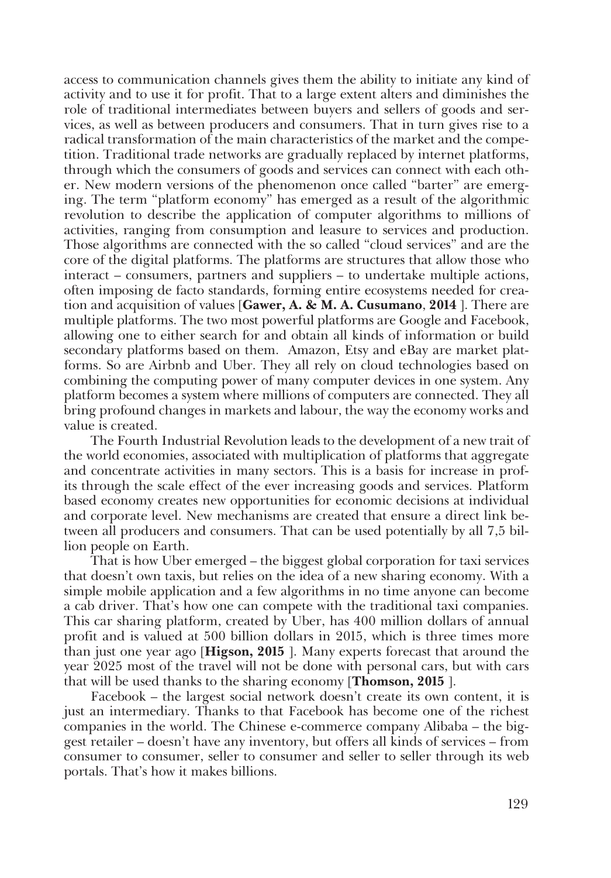access to communication channels gives them the ability to initiate any kind of activity and to use it for profit. That to a large extent alters and diminishes the role of traditional intermediates between buyers and sellers of goods and services, as well as between producers and consumers. That in turn gives rise to a radical transformation of the main characteristics of the market and the compe tition. Traditional trade networks are gradually replaced by internet platforms, through which the consumers of goods and services can connect with each oth� er. New modern versions of the phenomenon once called "barter" are emerg� ing. The term "platform economy" has emerged as a result of the algorithmic revolution to describe the application of computer algorithms to millions of activities, ranging from consumption and leasure to services and production. Those algorithms are connected with the so called "cloud services" and are the core of the digital platforms. The platforms are structures that allow those who interact – consumers, partners and suppliers – to undertake multiple actions, often imposing de facto standards, forming entire ecosystems needed for crea� tion and acquisition of values [**Gawer, A. & M. A. Cusumano**, **2014** ]. There are multiple platforms. The two most powerful platforms are Google and Facebook, allowing one to either search for and obtain all kinds of information or build secondary platforms based on them. Amazon, Etsy and eBay are market plat� forms. So are Airbnb and Uber. They all rely on cloud technologies based on combining the computing power of many computer devices in one system. Any platform becomes a system where millions of computers are connected. They all bring profound changes in markets and labour, the way the economy works and value is created.

The Fourth Industrial Revolution leads to the development of a new trait of the world economies, associated with multiplication of platforms that aggregate and concentrate activities in many sectors. This is a basis for increase in profits through the scale effect of the ever increasing goods and services. Platform based economy creates new opportunities for economic decisions at individual and corporate level. New mechanisms are created that ensure a direct link between all producers and consumers. That can be used potentially by all 7,5 bil� lion people on Earth.

That is how Uber emerged – the biggest global corporation for taxi services that doesn't own taxis, but relies on the idea of a new sharing economy. With a simple mobile application and a few algorithms in no time anyone can become a cab driver. That's how one can compete with the traditional taxi companies. This car sharing platform, created by Uber, has 400 million dollars of annual profit and is valued at 500 billion dollars in 2015, which is three times more than just one year ago [**Higson, 2015** ]. Many experts forecast that around the year 2025 most of the travel will not be done with personal cars, but with cars that will be used thanks to the sharing economy [**Thomson, 2015** ].

Facebook – the largest social network doesn't create its own content, it is just an intermediary. Thanks to that Facebook has become one of the richest companies in the world. The Chinese e-commerce company Alibaba – the big� gest retailer – doesn't have any inventory, but offers all kinds of services – from consumer to consumer, seller to consumer and seller to seller through its web portals. That's how it makes billions.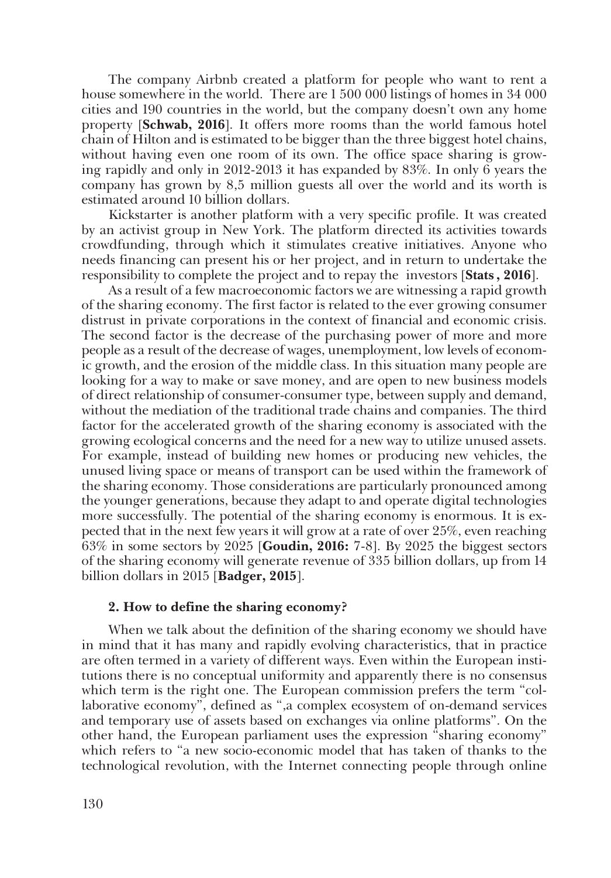The company Airbnb created a platform for people who want to rent a house somewhere in the world. There are 1 500 000 listings of homes in 34 000 cities and 190 countries in the world, but the company doesn't own any home property [**Schwab, 2016**]. It offers more rooms than the world famous hotel chain of Hilton and is estimated to be bigger than the three biggest hotel chains, without having even one room of its own. The office space sharing is growing rapidly and only in 2012-2013 it has expanded by 83%. In only 6 years the company has grown by 8,5 million guests all over the world and its worth is estimated around 10 billion dollars.

Kickstarter is another platform with a very specific profile. It was created by an activist group in New York. The platform directed its activities towards crowdfunding, through which it stimulates creative initiatives. Anyone who needs financing can present his or her project, and in return to undertake the responsibility to complete the project and to repay the investors [**Stats , 2016**].

As a result of a few macroeconomic factors we are witnessing a rapid growth of the sharing economy. The first factor is related to the ever growing consumer distrust in private corporations in the context of financial and economic crisis. The second factor is the decrease of the purchasing power of more and more people as a result of the decrease of wages, unemployment, low levels of econom� ic growth, and the erosion of the middle class. In this situation many people are looking for a way to make or save money, and are open to new business models of direct relationship of consumer-consumer type, between supply and demand, without the mediation of the traditional trade chains and companies. The third factor for the accelerated growth of the sharing economy is associated with the growing ecological concerns and the need for a new way to utilize unused assets. For example, instead of building new homes or producing new vehicles, the unused living space or means of transport can be used within the framework of the sharing economy. Those considerations are particularly pronounced among the younger generations, because they adapt to and operate digital technologies more successfully. The potential of the sharing economy is enormous. It is expected that in the next few years it will grow at a rate of over 25%, even reaching 63% in some sectors by 2025 [**Goudin, 2016:** 7-8]. By 2025 the biggest sectors of the sharing economy will generate revenue of 335 billion dollars, up from 14 billion dollars in 2015 [**Badger, 2015**].

## **2. How to define the sharing economy?**

When we talk about the definition of the sharing economy we should have in mind that it has many and rapidly evolving characteristics, that in practice are often termed in a variety of different ways. Even within the European institutions there is no conceptual uniformity and apparently there is no consensus which term is the right one. The European commission prefers the term "collaborative economy", defined as ",a complex ecosystem of on-demand services and temporary use of assets based on exchanges via online platforms". On the other hand, the European parliament uses the expression "sharing economy" which refers to "a new socio-economic model that has taken of thanks to the technological revolution, with the Internet connecting people through online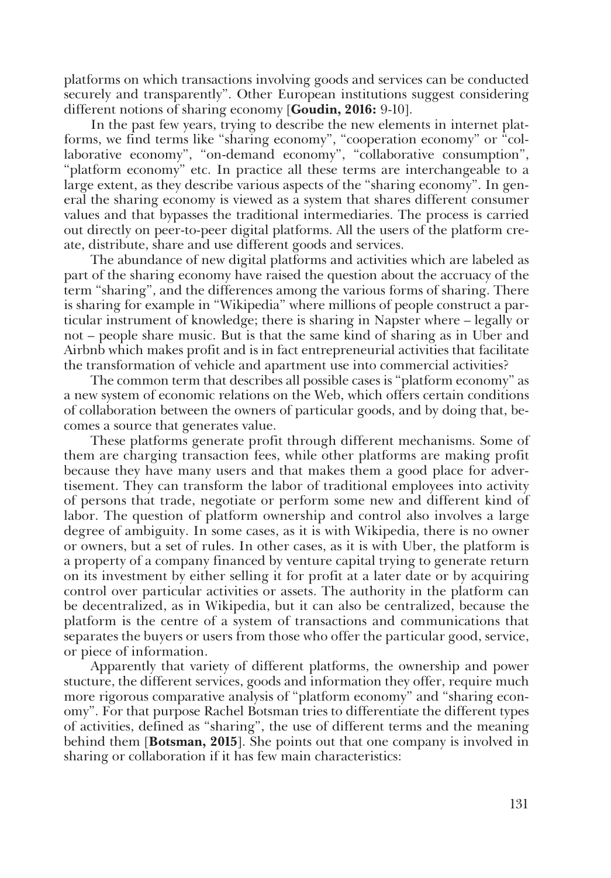platforms on which transactions involving goods and services can be conducted securely and transparently". Other European institutions suggest considering different notions of sharing economy [**Goudin, 2016:** 9-10].

In the past few years, trying to describe the new elements in internet plat� forms, we find terms like "sharing economy", "cooperation economy" or "col� laborative economy", "on-demand economy", "collaborative consumption", "platform economy" etc. In practice all these terms are interchangeable to a large extent, as they describe various aspects of the "sharing economy". In gen� eral the sharing economy is viewed as a system that shares different consumer values and that bypasses the traditional intermediaries. The process is carried out directly on peer-to-peer digital platforms. All the users of the platform create, distribute, share and use different goods and services.

The abundance of new digital platforms and activities which are labeled as part of the sharing economy have raised the question about the accruacy of the term "sharing", and the differences among the various forms of sharing. There is sharing for example in "Wikipedia" where millions of people construct a par� ticular instrument of knowledge; there is sharing in Napster where – legally or not – people share music. But is that the same kind of sharing as in Uber and Airbnb which makes profit and is in fact entrepreneurial activities that facilitate the transformation of vehicle and apartment use into commercial activities?

The common term that describes all possible cases is "platform economy" as a new system of economic relations on the Web, which offers certain conditions of collaboration between the owners of particular goods, and by doing that, becomes a source that generates value.

These platforms generate profit through different mechanisms. Some of them are charging transaction fees, while other platforms are making profit because they have many users and that makes them a good place for advertisement. They can transform the labor of traditional employees into activity of persons that trade, negotiate or perform some new and different kind of labor. The question of platform ownership and control also involves a large degree of ambiguity. In some cases, as it is with Wikipedia, there is no owner or owners, but a set of rules. In other cases, as it is with Uber, the platform is a property of a company financed by venture capital trying to generate return on its investment by either selling it for profit at a later date or by acquiring control over particular activities or assets. The authority in the platform can be decentralized, as in Wikipedia, but it can also be centralized, because the platform is the centre of a system of transactions and communications that separates the buyers or users from those who offer the particular good, service, or piece of information.

Apparently that variety of different platforms, the ownership and power stucture, the different services, goods and information they offer, require much more rigorous comparative analysis of "platform economy" and "sharing econ� omy". For that purpose Rachel Botsman tries to differentiate the different types of activities, defined as "sharing", the use of different terms and the meaning behind them [**Botsman, 2015**]. She points out that one company is involved in sharing or collaboration if it has few main characteristics: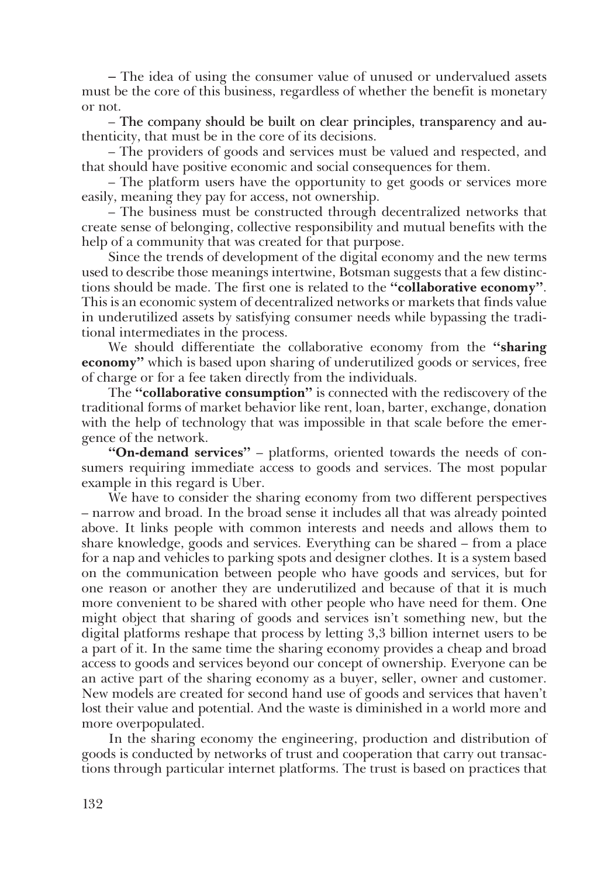– The idea of using the consumer value of unused or undervalued assets must be the core of this business, regardless of whether the benefit is monetary or not.

– The company should be built on clear principles, transparency and authenticity, that must be in the core of its decisions.

– The providers of goods and services must be valued and respected, and that should have positive economic and social consequences for them.

– The platform users have the opportunity to get goods or services more easily, meaning they pay for access, not ownership.

– The business must be constructed through decentralized networks that create sense of belonging, collective responsibility and mutual benefits with the help of a community that was created for that purpose.

Since the trends of development of the digital economy and the new terms used to describe those meanings intertwine, Botsman suggests that a few distinc� tions should be made. The first one is related to the **"collaborative economy"**. This is an economic system of decentralized networks or markets that finds value in underutilized assets by satisfying consumer needs while bypassing the tradi� tional intermediates in the process.

We should differentiate the collaborative economy from the **"sharing economy"** which is based upon sharing of underutilized goods or services, free of charge or for a fee taken directly from the individuals.

The **"collaborative consumption"** is connected with the rediscovery of the traditional forms of market behavior like rent, loan, barter, exchange, donation with the help of technology that was impossible in that scale before the emergence of the network.

"On-demand services" - platforms, oriented towards the needs of consumers requiring immediate access to goods and services. The most popular example in this regard is Uber.

We have to consider the sharing economy from two different perspectives – narrow and broad. In the broad sense it includes all that was already pointed above. It links people with common interests and needs and allows them to share knowledge, goods and services. Everything can be shared – from a place for a nap and vehicles to parking spots and designer clothes. It is a system based on the communication between people who have goods and services, but for one reason or another they are underutilized and because of that it is much more convenient to be shared with other people who have need for them. One might object that sharing of goods and services isn't something new, but the digital platforms reshape that process by letting 3,3 billion internet users to be a part of it. In the same time the sharing economy provides a cheap and broad access to goods and services beyond our concept of ownership. Everyone can be an active part of the sharing economy as a buyer, seller, owner and customer. New models are created for second hand use of goods and services that haven't lost their value and potential. And the waste is diminished in a world more and more overpopulated.

In the sharing economy the engineering, production and distribution of goods is conducted by networks of trust and cooperation that carry out transac� tions through particular internet platforms. The trust is based on practices that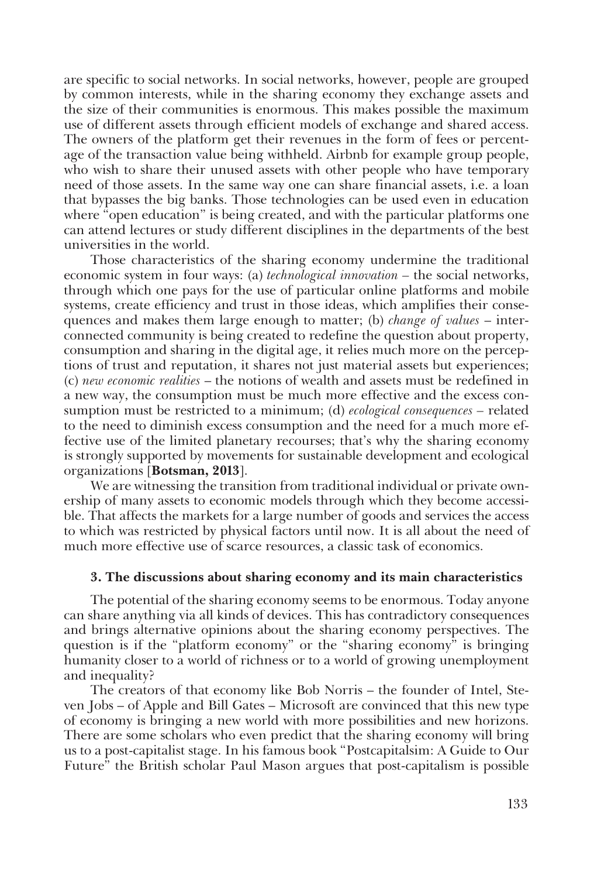are specific to social networks. In social networks, however, people are grouped by common interests, while in the sharing economy they exchange assets and the size of their communities is enormous. This makes possible the maximum use of different assets through efficient models of exchange and shared access. The owners of the platform get their revenues in the form of fees or percentage of the transaction value being withheld. Airbnb for example group people, who wish to share their unused assets with other people who have temporary need of those assets. In the same way one can share financial assets, i.e. a loan that bypasses the big banks. Those technologies can be used even in education where "open education" is being created, and with the particular platforms one can attend lectures or study different disciplines in the departments of the best universities in the world.

Those characteristics of the sharing economy undermine the traditional economic system in four ways: (a) *technological innovation –* the social networks, through which one pays for the use of particular online platforms and mobile systems, create efficiency and trust in those ideas, which amplifies their consequences and makes them large enough to matter; (b) *change of values* – interconnected community is being created to redefine the question about property, consumption and sharing in the digital age, it relies much more on the percep� tions of trust and reputation, it shares not just material assets but experiences; (c) *new economic realities* – the notions of wealth and assets must be redefined in a new way, the consumption must be much more effective and the excess con� sumption must be restricted to a minimum; (d) *ecological consequences –* related to the need to diminish excess consumption and the need for a much more effective use of the limited planetary recourses; that's why the sharing economy is strongly supported by movements for sustainable development and ecological organizations [**Botsman, 2013**].

We are witnessing the transition from traditional individual or private ownership of many assets to economic models through which they become accessi� ble. That affects the markets for a large number of goods and services the access to which was restricted by physical factors until now. It is all about the need of much more effective use of scarce resources, a classic task of economics.

#### **3. The discussions about sharing economy and its main characteristics**

The potential of the sharing economy seems to be enormous. Today anyone can share anything via all kinds of devices. This has contradictory consequences and brings alternative opinions about the sharing economy perspectives. The question is if the "platform economy" or the "sharing economy" is bringing humanity closer to a world of richness or to a world of growing unemployment and inequality?

The creators of that economy like Bob Norris – the founder of Intel, Steven Jobs – of Apple and Bill Gates – Microsoft are convinced that this new type of economy is bringing a new world with more possibilities and new horizons. There are some scholars who even predict that the sharing economy will bring us to a post-capitalist stage. In his famous book "Postcapitalsim: A Guide to Our Future" the British scholar Paul Mason argues that post-capitalism is possible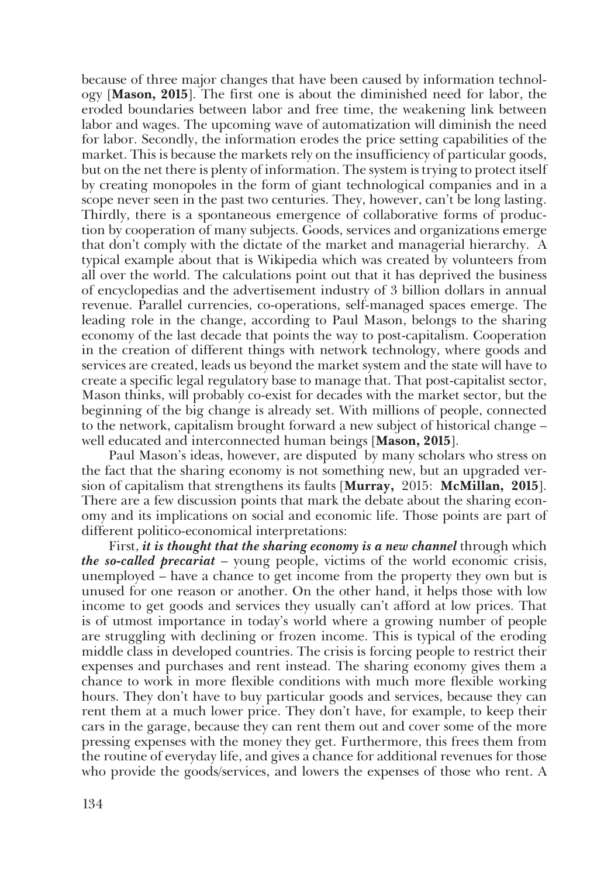because of three major changes that have been caused by information technology [**Mason, 2015**]. The first one is about the diminished need for labor, the eroded boundaries between labor and free time, the weakening link between labor and wages. The upcoming wave of automatization will diminish the need for labor. Secondly, the information erodes the price setting capabilities of the market. This is because the markets rely on the insufficiency of particular goods, but on the net there is plenty of information. The system is trying to protect itself by creating monopoles in the form of giant technological companies and in a scope never seen in the past two centuries. They, however, can't be long lasting. Thirdly, there is a spontaneous emergence of collaborative forms of produc� tion by cooperation of many subjects. Goods, services and organizations emerge that don't comply with the dictate of the market and managerial hierarchy. A typical example about that is Wikipedia which was created by volunteers from all over the world. The calculations point out that it has deprived the business of encyclopedias and the advertisement industry of 3 billion dollars in annual revenue. Parallel currencies, co-operations, self-managed spaces emerge. The leading role in the change, according to Paul Mason, belongs to the sharing economy of the last decade that points the way to post-capitalism. Cooperation in the creation of different things with network technology, where goods and services are created, leads us beyond the market system and the state will have to create a specific legal regulatory base to manage that. That post-capitalist sector, Mason thinks, will probably co-exist for decades with the market sector, but the beginning of the big change is already set. With millions of people, connected to the network, capitalism brought forward a new subject of historical change – well educated and interconnected human beings [**Mason, 2015**].

Paul Mason's ideas, however, are disputed by many scholars who stress on the fact that the sharing economy is not something new, but an upgraded version of capitalism that strengthens its faults [**Murray,** 2015: **McMillan, 2015**]. There are a few discussion points that mark the debate about the sharing economy and its implications on social and economic life. Those points are part of different politico-economical interpretations:

First, *it is thought that the sharing economy is a new channel* through which *the so-called precariat* – young people, victims of the world economic crisis, unemployed – have a chance to get income from the property they own but is unused for one reason or another. On the other hand, it helps those with low income to get goods and services they usually can't afford at low prices. That is of utmost importance in today's world where a growing number of people are struggling with declining or frozen income. This is typical of the eroding middle class in developed countries. The crisis is forcing people to restrict their expenses and purchases and rent instead. The sharing economy gives them a chance to work in more flexible conditions with much more flexible working hours. They don't have to buy particular goods and services, because they can rent them at a much lower price. They don't have, for example, to keep their cars in the garage, because they can rent them out and cover some of the more pressing expenses with the money they get. Furthermore, this frees them from the routine of everyday life, and gives a chance for additional revenues for those who provide the goods/services, and lowers the expenses of those who rent. A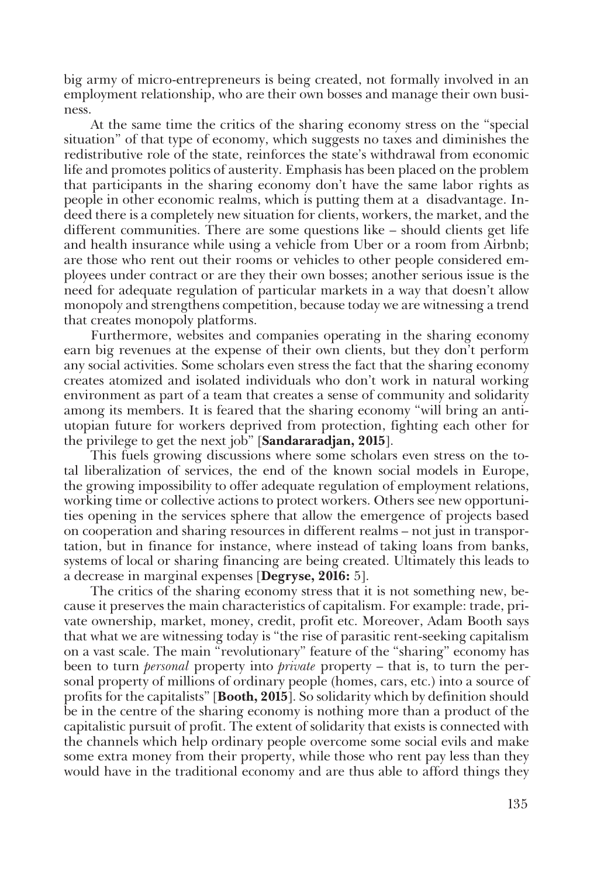big army of micro-entrepreneurs is being created, not formally involved in an employment relationship, who are their own bosses and manage their own busi� ness.

At the same time the critics of the sharing economy stress on the "special situation" of that type of economy, which suggests no taxes and diminishes the redistributive role of the state, reinforces the state's withdrawal from economic life and promotes politics of austerity. Emphasis has been placed on the problem that participants in the sharing economy don't have the same labor rights as people in other economic realms, which is putting them at a disadvantage. In� deed there is a completely new situation for clients, workers, the market, and the different communities. There are some questions like – should clients get life and health insurance while using a vehicle from Uber or a room from Airbnb; are those who rent out their rooms or vehicles to other people considered em� ployees under contract or are they their own bosses; another serious issue is the need for adequate regulation of particular markets in a way that doesn't allow monopoly and strengthens competition, because today we are witnessing a trend that creates monopoly platforms.

Furthermore, websites and companies operating in the sharing economy earn big revenues at the expense of their own clients, but they don't perform any social activities. Some scholars even stress the fact that the sharing economy creates atomized and isolated individuals who don't work in natural working environment as part of a team that creates a sense of community and solidarity among its members. It is feared that the sharing economy "will bring an antiutopian future for workers deprived from protection, fighting each other for the privilege to get the next job" [**Sandararadjan, 2015**].

This fuels growing discussions where some scholars even stress on the total liberalization of services, the end of the known social models in Europe, the growing impossibility to offer adequate regulation of employment relations, working time or collective actions to protect workers. Others see new opportuni� ties opening in the services sphere that allow the emergence of projects based on cooperation and sharing resources in different realms – not just in transpor� tation, but in finance for instance, where instead of taking loans from banks, systems of local or sharing financing are being created. Ultimately this leads to a decrease in marginal expenses [**Degryse, 2016:** 5].

The critics of the sharing economy stress that it is not something new, because it preserves the main characteristics of capitalism. For example: trade, pri� vate ownership, market, money, credit, profit etc. Moreover, Adam Booth says that what we are witnessing today is "the rise of parasitic rent-seeking capitalism on a vast scale. The main "revolutionary" feature of the "sharing" economy has been to turn *personal* property into *private* property – that is, to turn the personal property of millions of ordinary people (homes, cars, etc.) into a source of profits for the capitalists" [**Booth, 2015**]. So solidarity which by definition should be in the centre of the sharing economy is nothing more than a product of the capitalistic pursuit of profit. The extent of solidarity that exists is connected with the channels which help ordinary people overcome some social evils and make some extra money from their property, while those who rent pay less than they would have in the traditional economy and are thus able to afford things they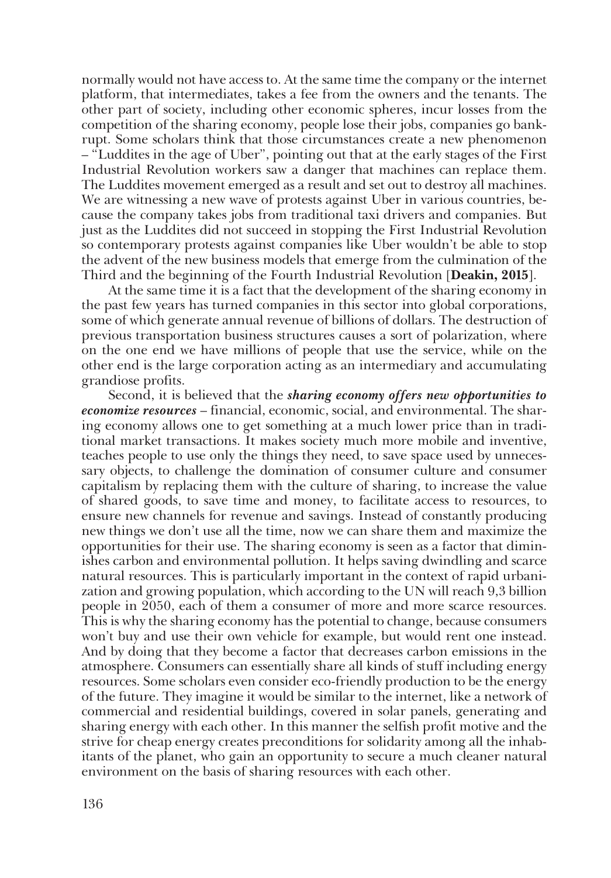normally would not have access to. At the same time the company or the internet platform, that intermediates, takes a fee from the owners and the tenants. The other part of society, including other economic spheres, incur losses from the competition of the sharing economy, people lose their jobs, companies go bank� rupt. Some scholars think that those circumstances create a new phenomenon – "Luddites in the age of Uber", pointing out that at the early stages of the First Industrial Revolution workers saw a danger that machines can replace them. The Luddites movement emerged as a result and set out to destroy all machines. We are witnessing a new wave of protests against Uber in various countries, because the company takes jobs from traditional taxi drivers and companies. But just as the Luddites did not succeed in stopping the First Industrial Revolution so contemporary protests against companies like Uber wouldn't be able to stop the advent of the new business models that emerge from the culmination of the Third and the beginning of the Fourth Industrial Revolution [**Deakin, 2015**].

At the same time it is a fact that the development of the sharing economy in the past few years has turned companies in this sector into global corporations, some of which generate annual revenue of billions of dollars. The destruction of previous transportation business structures causes a sort of polarization, where on the one end we have millions of people that use the service, while on the other end is the large corporation acting as an intermediary and accumulating grandiose profits.

Second, it is believed that the *sharing economy offers new opportunities to economize resources* – financial, economic, social, and environmental. The shar� ing economy allows one to get something at a much lower price than in tradi� tional market transactions. It makes society much more mobile and inventive, teaches people to use only the things they need, to save space used by unnecessary objects, to challenge the domination of consumer culture and consumer capitalism by replacing them with the culture of sharing, to increase the value of shared goods, to save time and money, to facilitate access to resources, to ensure new channels for revenue and savings. Instead of constantly producing new things we don't use all the time, now we can share them and maximize the opportunities for their use. The sharing economy is seen as a factor that dimin� ishes carbon and environmental pollution. It helps saving dwindling and scarce natural resources. This is particularly important in the context of rapid urbanization and growing population, which according to the UN will reach 9,3 billion people in 2050, each of them a consumer of more and more scarce resources. This is why the sharing economy has the potential to change, because consumers won't buy and use their own vehicle for example, but would rent one instead. And by doing that they become a factor that decreases carbon emissions in the atmosphere. Consumers can essentially share all kinds of stuff including energy resources. Some scholars even consider eco-friendly production to be the energy of the future. They imagine it would be similar to the internet, like a network of commercial and residential buildings, covered in solar panels, generating and sharing energy with each other. In this manner the selfish profit motive and the strive for cheap energy creates preconditions for solidarity among all the inhab� itants of the planet, who gain an opportunity to secure a much cleaner natural environment on the basis of sharing resources with each other.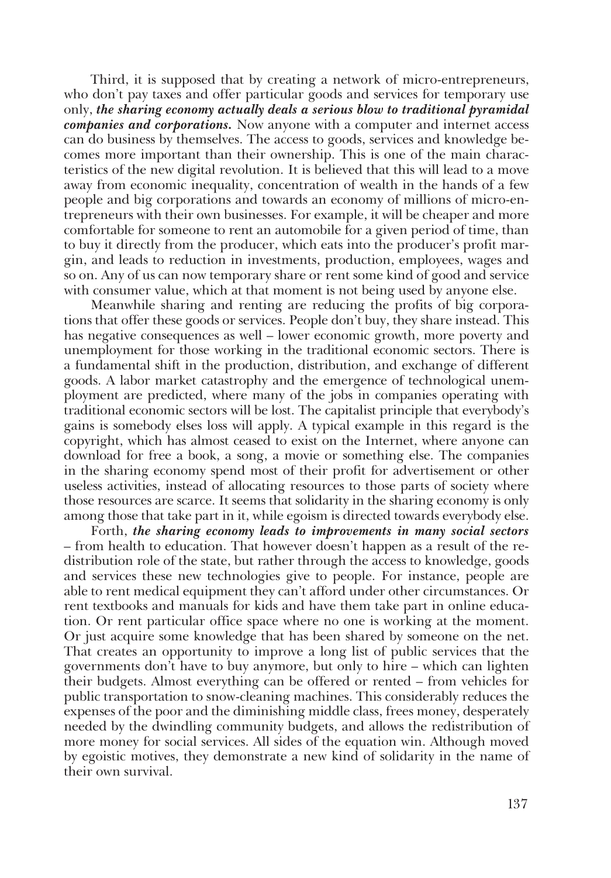Third, it is supposed that by creating a network of micro-entrepreneurs, who don't pay taxes and offer particular goods and services for temporary use only, *the sharing economy actually deals a serious blow to traditional pyramidal companies and corporations.* Now anyone with a computer and internet access can do business by themselves. The access to goods, services and knowledge becomes more important than their ownership. This is one of the main charac� teristics of the new digital revolution. It is believed that this will lead to a move away from economic inequality, concentration of wealth in the hands of a few people and big corporations and towards an economy of millions of micro-en� trepreneurs with their own businesses. For example, it will be cheaper and more comfortable for someone to rent an automobile for a given period of time, than to buy it directly from the producer, which eats into the producer's profit mar� gin, and leads to reduction in investments, production, employees, wages and so on. Any of us can now temporary share or rent some kind of good and service with consumer value, which at that moment is not being used by anyone else.

Meanwhile sharing and renting are reducing the profits of big corpora� tions that offer these goods or services. People don't buy, they share instead. This has negative consequences as well – lower economic growth, more poverty and unemployment for those working in the traditional economic sectors. There is a fundamental shift in the production, distribution, and exchange of different goods. A labor market catastrophy and the emergence of technological unem� ployment are predicted, where many of the jobs in companies operating with traditional economic sectors will be lost. The capitalist principle that everybody's gains is somebody elses loss will apply. A typical example in this regard is the copyright, which has almost ceased to exist on the Internet, where anyone can download for free a book, a song, a movie or something else. The companies in the sharing economy spend most of their profit for advertisement or other useless activities, instead of allocating resources to those parts of society where those resources are scarce. It seems that solidarity in the sharing economy is only among those that take part in it, while egoism is directed towards everybody else.

Forth, *the sharing economy leads to improvements in many social sectors*  – from health to education. That however doesn't happen as a result of the re� distribution role of the state, but rather through the access to knowledge, goods and services these new technologies give to people. For instance, people are able to rent medical equipment they can't afford under other circumstances. Or rent textbooks and manuals for kids and have them take part in online education. Or rent particular office space where no one is working at the moment. Or just acquire some knowledge that has been shared by someone on the net. That creates an opportunity to improve a long list of public services that the governments don't have to buy anymore, but only to hire – which can lighten their budgets. Almost everything can be offered or rented – from vehicles for public transportation to snow-cleaning machines. This considerably reduces the expenses of the poor and the diminishing middle class, frees money, desperately needed by the dwindling community budgets, and allows the redistribution of more money for social services. All sides of the equation win. Although moved by egoistic motives, they demonstrate a new kind of solidarity in the name of their own survival.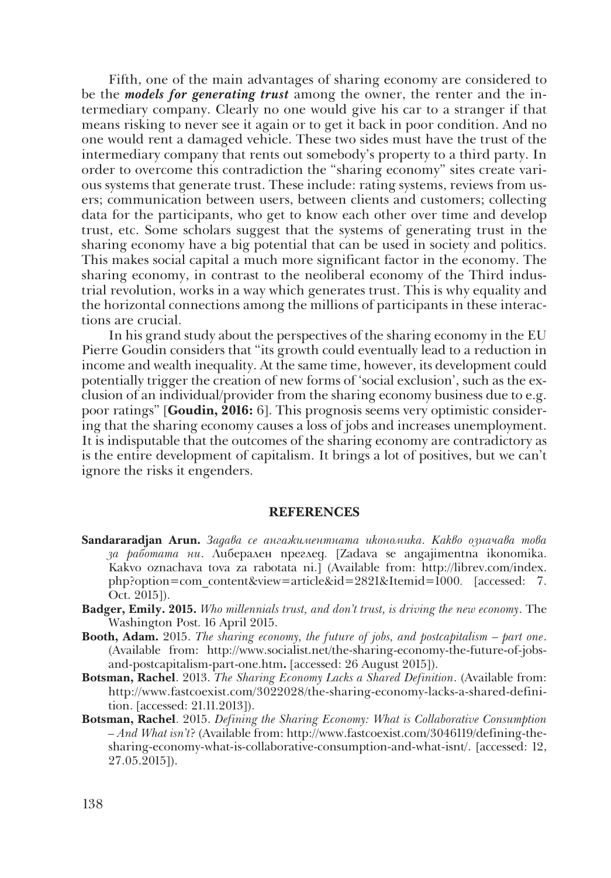Fifth, one of the main advantages of sharing economy are considered to be the *models for generating trust* among the owner, the renter and the intermediary company. Clearly no one would give his car to a stranger if that means risking to never see it again or to get it back in poor condition. And no one would rent a damaged vehicle. These two sides must have the trust of the intermediary company that rents out somebody's property to a third party. In order to overcome this contradiction the "sharing economy" sites create vari� ous systems that generate trust. These include: rating systems, reviews from us� ers; communication between users, between clients and customers; collecting data for the participants, who get to know each other over time and develop trust, etc. Some scholars suggest that the systems of generating trust in the sharing economy have a big potential that can be used in society and politics. This makes social capital a much more significant factor in the economy. The sharing economy, in contrast to the neoliberal economy of the Third industrial revolution, works in a way which generates trust. This is why equality and the horizontal connections among the millions of participants in these interac� tions are crucial.

In his grand study about the perspectives of the sharing economy in the EU Pierre Goudin considers that "its growth could eventually lead to a reduction in income and wealth inequality. At the same time, however, its development could potentially trigger the creation of new forms of 'social exclusion', such as the exclusion of an individual/provider from the sharing economy business due to e.g. poor ratings" [**Goudin, 2016:** 6]. This prognosis seems very optimistic consider� ing that the sharing economy causes a loss of jobs and increases unemployment. It is indisputable that the outcomes of the sharing economy are contradictory as is the entire development of capitalism. It brings a lot of positives, but we can't ignore the risks it engenders.

#### **REFERENCES**

- **Sandararadjan Arun.** *Задава се ангажиментната икономика. Какво означава това за работата ни*. Либерален преглед*.* [Zadava se angajimentna ikonomika. Kakvo oznachava tova za rabotata ni.] (Available from: http://librev.com/index. php?option=com\_content&view=article&id=2821&Itemid=1000*.* [accessed: 7. Oct. 2015]).
- **Badger, Emily. 2015.** *Who millennials trust, and don't trust, is driving the new economy*. The Washington Post*.* 16 April 2015.
- **Booth, Adam.** 2015. *The sharing economy, the future of jobs, and postcapitalism part one*. (Available from: http://www.socialist.net/the-sharing-economy-the-future-of-jobsand-postcapitalism-part-one.htm**.** [accessed: 26 Аugust 2015]).
- **Botsman, Rachel**. 2013. *The Sharing Economy Lacks a Shared Definition*. (Available from: http://www.fastcoexist.com/3022028/the-sharing-economy-lacks-a-shared-defini� tion. [accessed: 21.11.2013]).
- **Botsman, Rachel**. 2015. *Defining the Sharing Economy: What is Collaborative Consumption – And What isn't*? (Available from: http://www.fastcoexist.com/3046119/defining-thesharing-economy-what-is-collaborative-consumption-and-what-isnt/. [accessed: 12, 27.05.2015]).